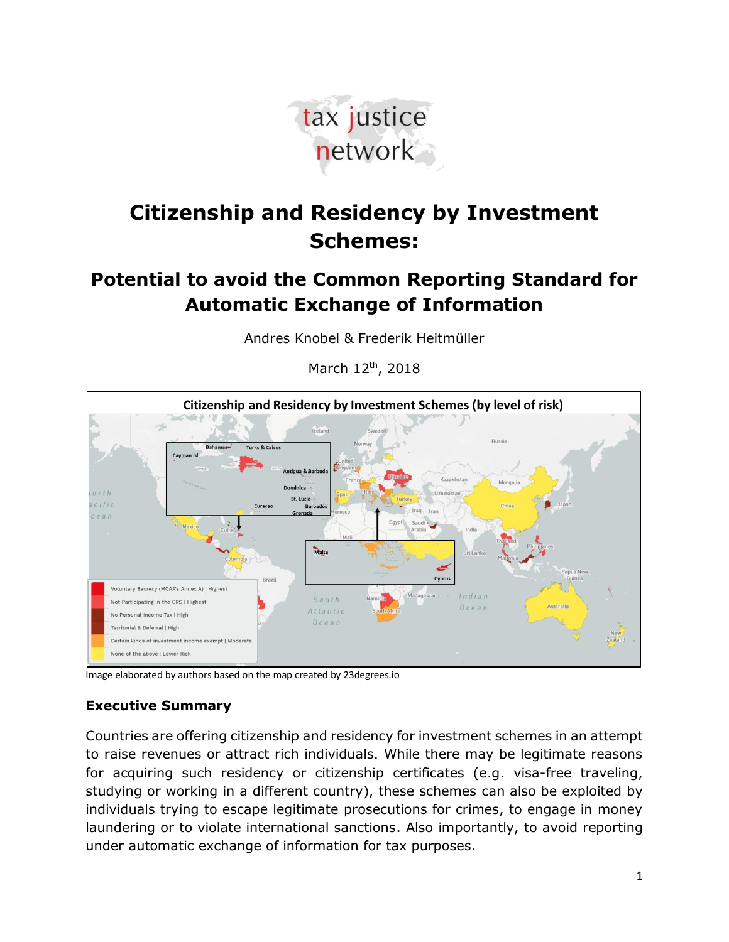

# **Citizenship and Residency by Investment Schemes:**

## **Potential to avoid the Common Reporting Standard for Automatic Exchange of Information**

Andres Knobel & Frederik Heitmüller



March 12<sup>th</sup>, 2018

Image elaborated by authors based on the map created by 23degrees.io

#### **Executive Summary**

Countries are offering citizenship and residency for investment schemes in an attempt to raise revenues or attract rich individuals. While there may be legitimate reasons for acquiring such residency or citizenship certificates (e.g. visa-free traveling, studying or working in a different country), these schemes can also be exploited by individuals trying to escape legitimate prosecutions for crimes, to engage in money laundering or to violate international sanctions. Also importantly, to avoid reporting under automatic exchange of information for tax purposes.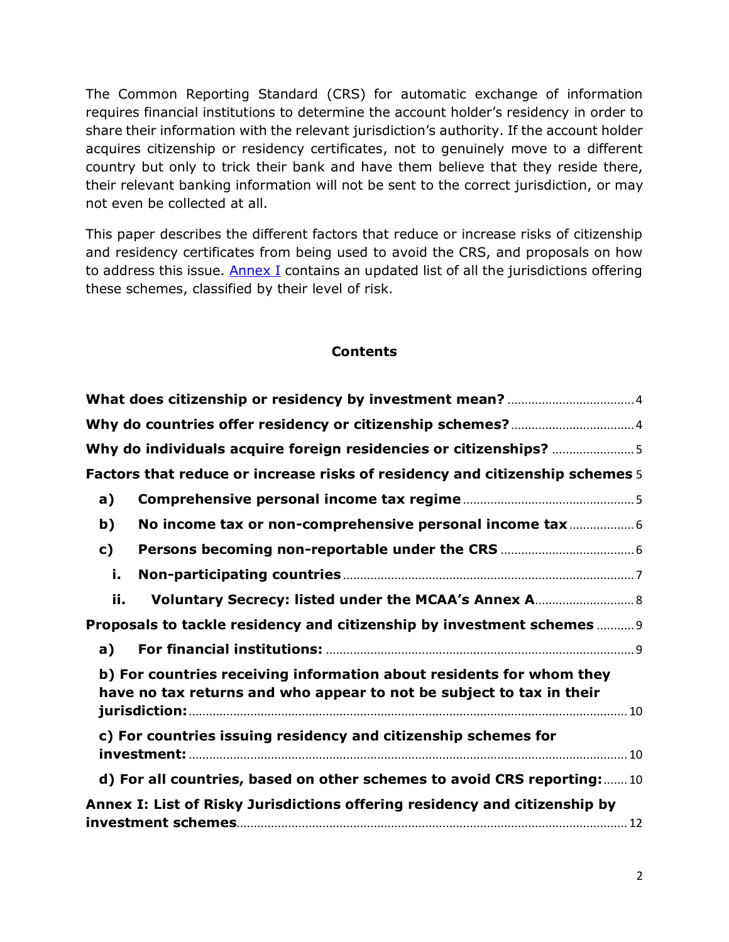The Common Reporting Standard (CRS) for automatic exchange of information requires financial institutions to determine the account holder's residency in order to share their information with the relevant jurisdiction's authority. If the account holder acquires citizenship or residency certificates, not to genuinely move to a different country but only to trick their bank and have them believe that they reside there, their relevant banking information will not be sent to the correct jurisdiction, or may not even be collected at all.

This paper describes the different factors that reduce or increase risks of citizenship and residency certificates from being used to avoid the CRS, and proposals on how to address this issue. **Annex I** contains an updated list of all the jurisdictions offering these schemes, classified by their level of risk.

#### **Contents**

| Why do individuals acquire foreign residencies or citizenships? 5                                                                            |  |
|----------------------------------------------------------------------------------------------------------------------------------------------|--|
| Factors that reduce or increase risks of residency and citizenship schemes 5                                                                 |  |
| a)                                                                                                                                           |  |
| No income tax or non-comprehensive personal income tax<br>b)                                                                                 |  |
| c)                                                                                                                                           |  |
| i.                                                                                                                                           |  |
| ii.<br>Voluntary Secrecy: listed under the MCAA's Annex A                                                                                    |  |
| Proposals to tackle residency and citizenship by investment schemes  9                                                                       |  |
| a)                                                                                                                                           |  |
| b) For countries receiving information about residents for whom they<br>have no tax returns and who appear to not be subject to tax in their |  |
| c) For countries issuing residency and citizenship schemes for                                                                               |  |
| d) For all countries, based on other schemes to avoid CRS reporting:  10                                                                     |  |
| Annex I: List of Risky Jurisdictions offering residency and citizenship by                                                                   |  |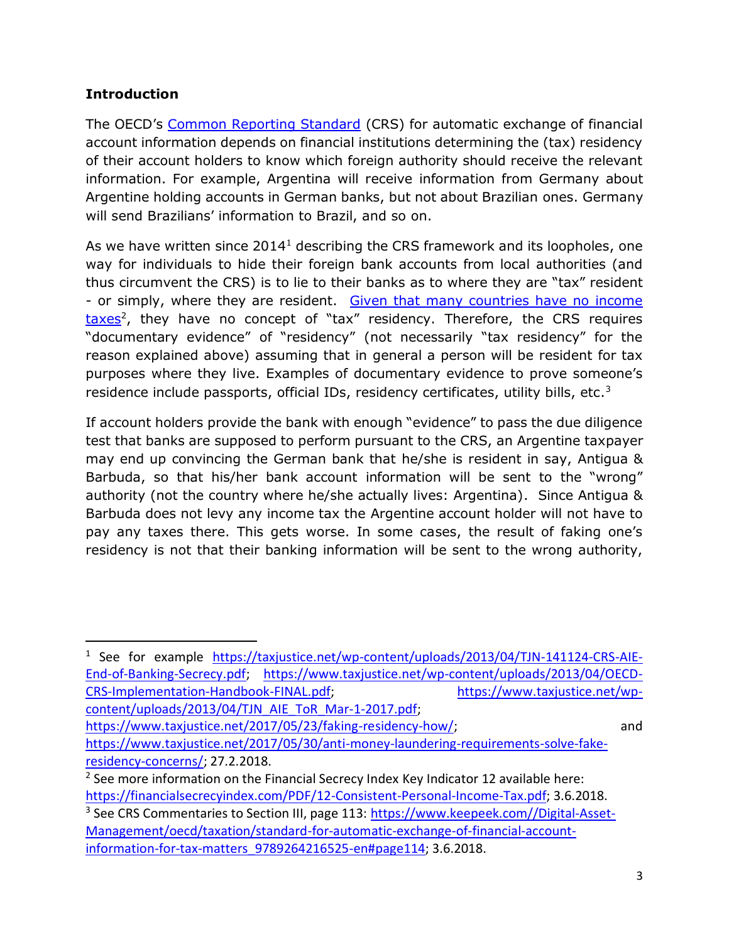#### **Introduction**

 $\overline{\phantom{a}}$ 

The OECD's [Common Reporting Standard](http://www.oecd.org/tax/automatic-exchange/common-reporting-standard/standard-for-automatic-exchange-of-financial-account-information-in-tax-matters-second-edition-9789264267992-en.htm) (CRS) for automatic exchange of financial account information depends on financial institutions determining the (tax) residency of their account holders to know which foreign authority should receive the relevant information. For example, Argentina will receive information from Germany about Argentine holding accounts in German banks, but not about Brazilian ones. Germany will send Brazilians' information to Brazil, and so on.

As we have written since 2014<sup>1</sup> describing the CRS framework and its loopholes, one way for individuals to hide their foreign bank accounts from local authorities (and thus circumvent the CRS) is to lie to their banks as to where they are "tax" resident - or simply, where they are resident. Given that many countries have no income [taxes](https://financialsecrecyindex.com/PDF/12-Consistent-Personal-Income-Tax.pdf)<sup>2</sup>, they have no concept of "tax" residency. Therefore, the CRS requires "documentary evidence" of "residency" (not necessarily "tax residency" for the reason explained above) assuming that in general a person will be resident for tax purposes where they live. Examples of documentary evidence to prove someone's residence include passports, official IDs, residency certificates, utility bills, etc.<sup>3</sup>

If account holders provide the bank with enough "evidence" to pass the due diligence test that banks are supposed to perform pursuant to the CRS, an Argentine taxpayer may end up convincing the German bank that he/she is resident in say, Antigua & Barbuda, so that his/her bank account information will be sent to the "wrong" authority (not the country where he/she actually lives: Argentina). Since Antigua & Barbuda does not levy any income tax the Argentine account holder will not have to pay any taxes there. This gets worse. In some cases, the result of faking one's residency is not that their banking information will be sent to the wrong authority,

[https://www.taxjustice.net/2017/05/30/anti-money-laundering-requirements-solve-fake](https://www.taxjustice.net/2017/05/30/anti-money-laundering-requirements-solve-fake-residency-concerns/)[residency-concerns/;](https://www.taxjustice.net/2017/05/30/anti-money-laundering-requirements-solve-fake-residency-concerns/) 27.2.2018.

<sup>&</sup>lt;sup>1</sup> See for example [https://taxjustice.net/wp-content/uploads/2013/04/TJN-141124-CRS-AIE-](https://taxjustice.net/wp-content/uploads/2013/04/TJN-141124-CRS-AIE-End-of-Banking-Secrecy.pdf)[End-of-Banking-Secrecy.pdf;](https://taxjustice.net/wp-content/uploads/2013/04/TJN-141124-CRS-AIE-End-of-Banking-Secrecy.pdf) [https://www.taxjustice.net/wp-content/uploads/2013/04/OECD-](https://www.taxjustice.net/wp-content/uploads/2013/04/OECD-CRS-Implementation-Handbook-FINAL.pdf)[CRS-Implementation-Handbook-FINAL.pdf;](https://www.taxjustice.net/wp-content/uploads/2013/04/OECD-CRS-Implementation-Handbook-FINAL.pdf) [https://www.taxjustice.net/wp-](https://www.taxjustice.net/wp-content/uploads/2013/04/TJN_AIE_ToR_Mar-1-2017.pdf)

[content/uploads/2013/04/TJN\\_AIE\\_ToR\\_Mar-1-2017.pdf;](https://www.taxjustice.net/wp-content/uploads/2013/04/TJN_AIE_ToR_Mar-1-2017.pdf) [https://www.taxjustice.net/2017/05/23/faking-residency-how/;](https://www.taxjustice.net/2017/05/23/faking-residency-how/) and

 $2$  See more information on the Financial Secrecy Index Key Indicator 12 available here: [https://financialsecrecyindex.com/PDF/12-Consistent-Personal-Income-Tax.pdf;](https://financialsecrecyindex.com/PDF/12-Consistent-Personal-Income-Tax.pdf) 3.6.2018.

<sup>&</sup>lt;sup>3</sup> See CRS Commentaries to Section III, page 113: [https://www.keepeek.com//Digital-Asset-](https://www.keepeek.com/Digital-Asset-Management/oecd/taxation/standard-for-automatic-exchange-of-financial-account-information-for-tax-matters_9789264216525-en#page114)[Management/oecd/taxation/standard-for-automatic-exchange-of-financial-account](https://www.keepeek.com/Digital-Asset-Management/oecd/taxation/standard-for-automatic-exchange-of-financial-account-information-for-tax-matters_9789264216525-en#page114)[information-for-tax-matters\\_9789264216525-en#page114;](https://www.keepeek.com/Digital-Asset-Management/oecd/taxation/standard-for-automatic-exchange-of-financial-account-information-for-tax-matters_9789264216525-en#page114) 3.6.2018.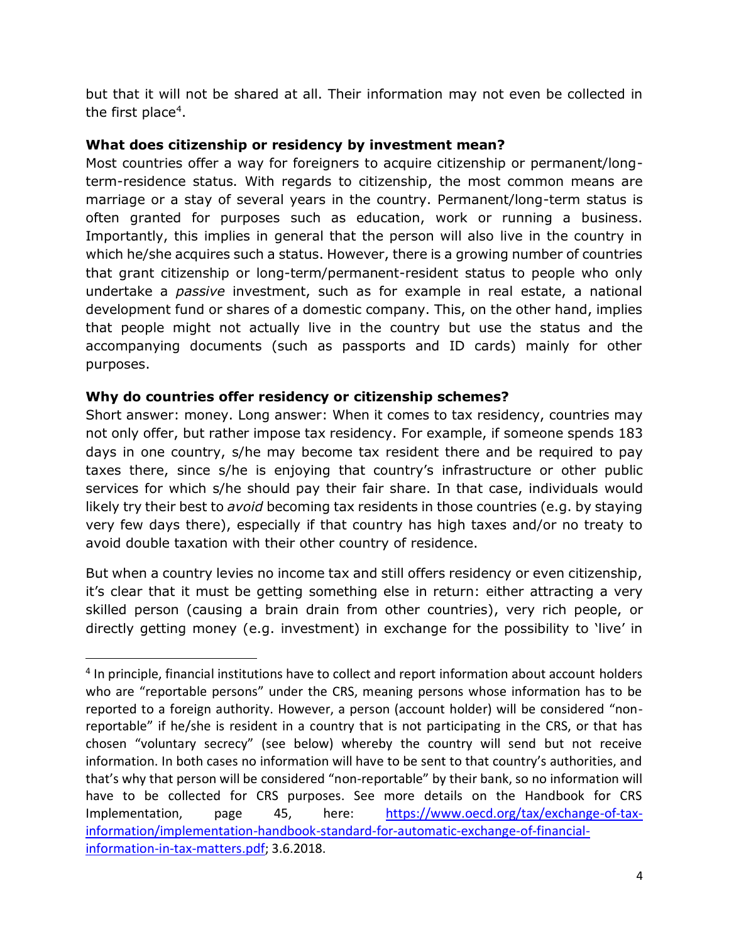but that it will not be shared at all. Their information may not even be collected in the first place<sup>4</sup>.

### <span id="page-3-0"></span>**What does citizenship or residency by investment mean?**

Most countries offer a way for foreigners to acquire citizenship or permanent/longterm-residence status. With regards to citizenship, the most common means are marriage or a stay of several years in the country. Permanent/long-term status is often granted for purposes such as education, work or running a business. Importantly, this implies in general that the person will also live in the country in which he/she acquires such a status. However, there is a growing number of countries that grant citizenship or long-term/permanent-resident status to people who only undertake a *passive* investment, such as for example in real estate, a national development fund or shares of a domestic company. This, on the other hand, implies that people might not actually live in the country but use the status and the accompanying documents (such as passports and ID cards) mainly for other purposes.

#### <span id="page-3-1"></span>**Why do countries offer residency or citizenship schemes?**

 $\overline{\phantom{a}}$ 

Short answer: money. Long answer: When it comes to tax residency, countries may not only offer, but rather impose tax residency. For example, if someone spends 183 days in one country, s/he may become tax resident there and be required to pay taxes there, since s/he is enjoying that country's infrastructure or other public services for which s/he should pay their fair share. In that case, individuals would likely try their best to *avoid* becoming tax residents in those countries (e.g. by staying very few days there), especially if that country has high taxes and/or no treaty to avoid double taxation with their other country of residence.

But when a country levies no income tax and still offers residency or even citizenship, it's clear that it must be getting something else in return: either attracting a very skilled person (causing a brain drain from other countries), very rich people, or directly getting money (e.g. investment) in exchange for the possibility to 'live' in

<sup>&</sup>lt;sup>4</sup> In principle, financial institutions have to collect and report information about account holders who are "reportable persons" under the CRS, meaning persons whose information has to be reported to a foreign authority. However, a person (account holder) will be considered "nonreportable" if he/she is resident in a country that is not participating in the CRS, or that has chosen "voluntary secrecy" (see below) whereby the country will send but not receive information. In both cases no information will have to be sent to that country's authorities, and that's why that person will be considered "non-reportable" by their bank, so no information will have to be collected for CRS purposes. See more details on the Handbook for CRS Implementation, page 45, here: [https://www.oecd.org/tax/exchange-of-tax](https://www.oecd.org/tax/exchange-of-tax-information/implementation-handbook-standard-for-automatic-exchange-of-financial-information-in-tax-matters.pdf)[information/implementation-handbook-standard-for-automatic-exchange-of-financial](https://www.oecd.org/tax/exchange-of-tax-information/implementation-handbook-standard-for-automatic-exchange-of-financial-information-in-tax-matters.pdf)[information-in-tax-matters.pdf;](https://www.oecd.org/tax/exchange-of-tax-information/implementation-handbook-standard-for-automatic-exchange-of-financial-information-in-tax-matters.pdf) 3.6.2018.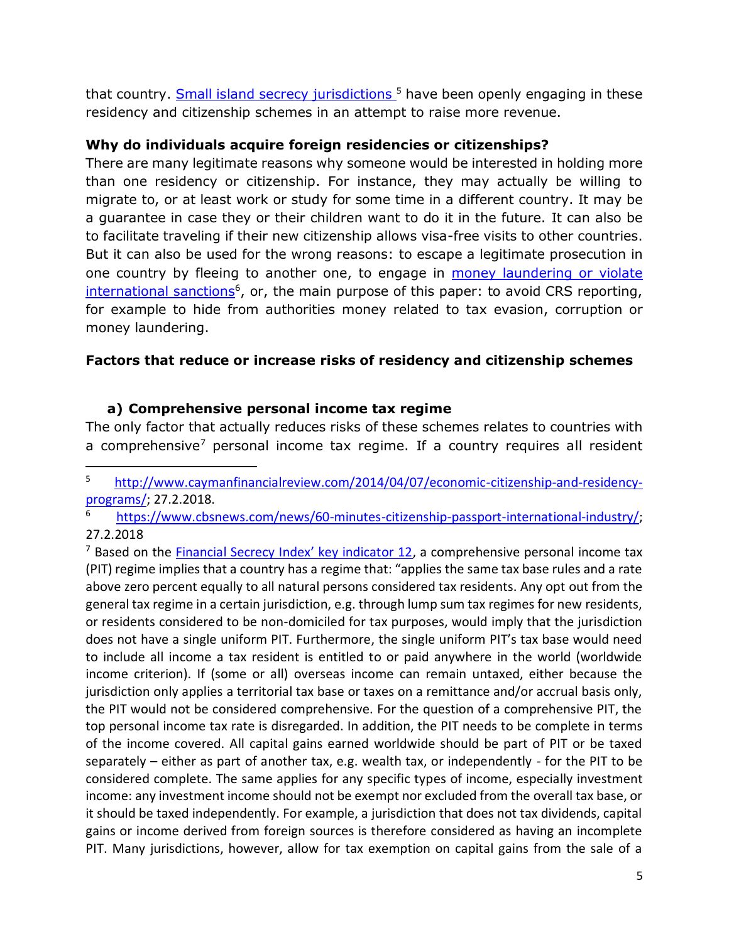that country. Small island secrecy jurisdictions<sup>5</sup> have been openly engaging in these residency and citizenship schemes in an attempt to raise more revenue.

## <span id="page-4-0"></span>**Why do individuals acquire foreign residencies or citizenships?**

There are many legitimate reasons why someone would be interested in holding more than one residency or citizenship. For instance, they may actually be willing to migrate to, or at least work or study for some time in a different country. It may be a guarantee in case they or their children want to do it in the future. It can also be to facilitate traveling if their new citizenship allows visa-free visits to other countries. But it can also be used for the wrong reasons: to escape a legitimate prosecution in one country by fleeing to another one, to engage in [money laundering or violate](https://www.cbsnews.com/news/60-minutes-citizenship-passport-international-industry/)  [international sanctions](https://www.cbsnews.com/news/60-minutes-citizenship-passport-international-industry/)<sup>6</sup>, or, the main purpose of this paper: to avoid CRS reporting, for example to hide from authorities money related to tax evasion, corruption or money laundering.

## <span id="page-4-1"></span>**Factors that reduce or increase risks of residency and citizenship schemes**

## **a) Comprehensive personal income tax regime**

 $\overline{a}$ 

<span id="page-4-2"></span>The only factor that actually reduces risks of these schemes relates to countries with a comprehensive<sup>7</sup> personal income tax regime. If a country requires all resident

[https://www.cbsnews.com/news/60-minutes-citizenship-passport-international-industry/;](https://www.cbsnews.com/news/60-minutes-citizenship-passport-international-industry/) 27.2.2018

 $<sup>7</sup>$  Based on the Finan[cial Secrecy Index' key indicator 12](https://financialsecrecyindex.com/PDF/12-Consistent-Personal-Income-Tax.pdf), a comprehensive personal income tax</sup> (PIT) regime implies that a country has a regime that: "applies the same tax base rules and a rate above zero percent equally to all natural persons considered tax residents. Any opt out from the general tax regime in a certain jurisdiction, e.g. through lump sum tax regimes for new residents, or residents considered to be non-domiciled for tax purposes, would imply that the jurisdiction does not have a single uniform PIT. Furthermore, the single uniform PIT's tax base would need to include all income a tax resident is entitled to or paid anywhere in the world (worldwide income criterion). If (some or all) overseas income can remain untaxed, either because the jurisdiction only applies a territorial tax base or taxes on a remittance and/or accrual basis only, the PIT would not be considered comprehensive. For the question of a comprehensive PIT, the top personal income tax rate is disregarded. In addition, the PIT needs to be complete in terms of the income covered. All capital gains earned worldwide should be part of PIT or be taxed separately – either as part of another tax, e.g. wealth tax, or independently - for the PIT to be considered complete. The same applies for any specific types of income, especially investment income: any investment income should not be exempt nor excluded from the overall tax base, or it should be taxed independently. For example, a jurisdiction that does not tax dividends, capital gains or income derived from foreign sources is therefore considered as having an incomplete PIT. Many jurisdictions, however, allow for tax exemption on capital gains from the sale of a

<sup>5</sup> [http://www.caymanfinancialreview.com/2014/04/07/economic-citizenship-and-residency](http://www.caymanfinancialreview.com/2014/04/07/economic-citizenship-and-residency-programs/)[programs/;](http://www.caymanfinancialreview.com/2014/04/07/economic-citizenship-and-residency-programs/) 27.2.2018.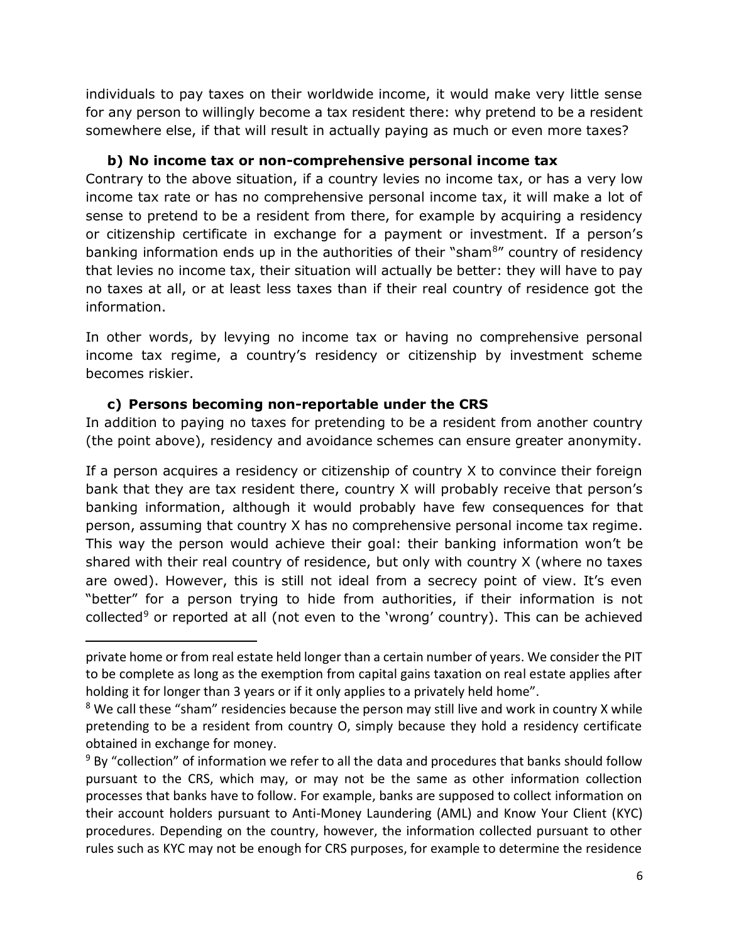individuals to pay taxes on their worldwide income, it would make very little sense for any person to willingly become a tax resident there: why pretend to be a resident somewhere else, if that will result in actually paying as much or even more taxes?

#### **b) No income tax or non-comprehensive personal income tax**

<span id="page-5-0"></span>Contrary to the above situation, if a country levies no income tax, or has a very low income tax rate or has no comprehensive personal income tax, it will make a lot of sense to pretend to be a resident from there, for example by acquiring a residency or citizenship certificate in exchange for a payment or investment. If a person's banking information ends up in the authorities of their "sham<sup>8</sup>" country of residency that levies no income tax, their situation will actually be better: they will have to pay no taxes at all, or at least less taxes than if their real country of residence got the information.

In other words, by levying no income tax or having no comprehensive personal income tax regime, a country's residency or citizenship by investment scheme becomes riskier.

#### **c) Persons becoming non-reportable under the CRS**

 $\overline{\phantom{a}}$ 

<span id="page-5-1"></span>In addition to paying no taxes for pretending to be a resident from another country (the point above), residency and avoidance schemes can ensure greater anonymity.

If a person acquires a residency or citizenship of country X to convince their foreign bank that they are tax resident there, country X will probably receive that person's banking information, although it would probably have few consequences for that person, assuming that country X has no comprehensive personal income tax regime. This way the person would achieve their goal: their banking information won't be shared with their real country of residence, but only with country X (where no taxes are owed). However, this is still not ideal from a secrecy point of view. It's even "better" for a person trying to hide from authorities, if their information is not collected<sup>9</sup> or reported at all (not even to the 'wrong' country). This can be achieved

private home or from real estate held longer than a certain number of years. We consider the PIT to be complete as long as the exemption from capital gains taxation on real estate applies after holding it for longer than 3 years or if it only applies to a privately held home".

<sup>&</sup>lt;sup>8</sup> We call these "sham" residencies because the person may still live and work in country X while pretending to be a resident from country O, simply because they hold a residency certificate obtained in exchange for money.

 $9$  By "collection" of information we refer to all the data and procedures that banks should follow pursuant to the CRS, which may, or may not be the same as other information collection processes that banks have to follow. For example, banks are supposed to collect information on their account holders pursuant to Anti-Money Laundering (AML) and Know Your Client (KYC) procedures. Depending on the country, however, the information collected pursuant to other rules such as KYC may not be enough for CRS purposes, for example to determine the residence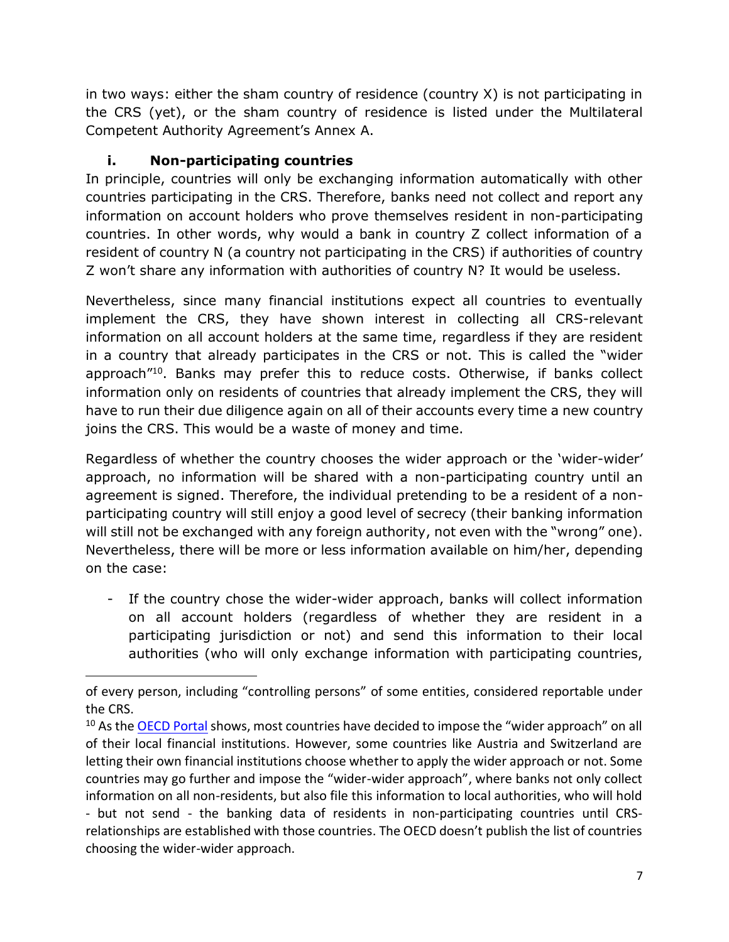in two ways: either the sham country of residence (country X) is not participating in the CRS (yet), or the sham country of residence is listed under the Multilateral Competent Authority Agreement's Annex A.

## **i. Non-participating countries**

 $\overline{\phantom{a}}$ 

<span id="page-6-0"></span>In principle, countries will only be exchanging information automatically with other countries participating in the CRS. Therefore, banks need not collect and report any information on account holders who prove themselves resident in non-participating countries. In other words, why would a bank in country Z collect information of a resident of country N (a country not participating in the CRS) if authorities of country Z won't share any information with authorities of country N? It would be useless.

Nevertheless, since many financial institutions expect all countries to eventually implement the CRS, they have shown interest in collecting all CRS-relevant information on all account holders at the same time, regardless if they are resident in a country that already participates in the CRS or not. This is called the "wider approach<sup>"10</sup>. Banks may prefer this to reduce costs. Otherwise, if banks collect information only on residents of countries that already implement the CRS, they will have to run their due diligence again on all of their accounts every time a new country joins the CRS. This would be a waste of money and time.

Regardless of whether the country chooses the wider approach or the 'wider-wider' approach, no information will be shared with a non-participating country until an agreement is signed. Therefore, the individual pretending to be a resident of a nonparticipating country will still enjoy a good level of secrecy (their banking information will still not be exchanged with any foreign authority, not even with the "wrong" one). Nevertheless, there will be more or less information available on him/her, depending on the case:

- If the country chose the wider-wider approach, banks will collect information on all account holders (regardless of whether they are resident in a participating jurisdiction or not) and send this information to their local authorities (who will only exchange information with participating countries,

of every person, including "controlling persons" of some entities, considered reportable under the CRS.

 $10$  As th[e OECD Portal](http://www.oecd.org/tax/automatic-exchange/crs-implementation-and-assistance/crs-by-jurisdiction/crs-by-jurisdiction-2018.htm) shows, most countries have decided to impose the "wider approach" on all of their local financial institutions. However, some countries like Austria and Switzerland are letting their own financial institutions choose whether to apply the wider approach or not. Some countries may go further and impose the "wider-wider approach", where banks not only collect information on all non-residents, but also file this information to local authorities, who will hold - but not send - the banking data of residents in non-participating countries until CRSrelationships are established with those countries. The OECD doesn't publish the list of countries choosing the wider-wider approach.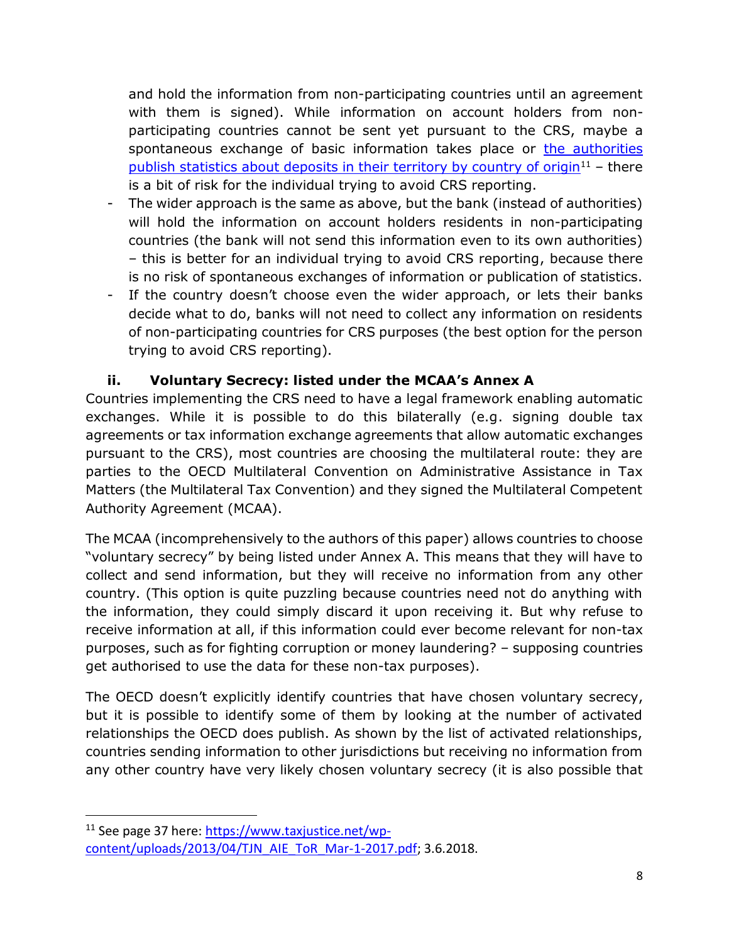and hold the information from non-participating countries until an agreement with them is signed). While information on account holders from nonparticipating countries cannot be sent yet pursuant to the CRS, maybe a spontaneous exchange of basic information takes place or the authorities [publish statistics about deposits in their territory by country of origin](https://www.taxjustice.net/wp-content/uploads/2013/04/TJN_AIE_ToR_Mar-1-2017.pdf)<sup>11</sup> – there is a bit of risk for the individual trying to avoid CRS reporting.

- The wider approach is the same as above, but the bank (instead of authorities) will hold the information on account holders residents in non-participating countries (the bank will not send this information even to its own authorities) – this is better for an individual trying to avoid CRS reporting, because there is no risk of spontaneous exchanges of information or publication of statistics.
- If the country doesn't choose even the wider approach, or lets their banks decide what to do, banks will not need to collect any information on residents of non-participating countries for CRS purposes (the best option for the person trying to avoid CRS reporting).

#### **ii. Voluntary Secrecy: listed under the MCAA's Annex A**

<span id="page-7-0"></span>Countries implementing the CRS need to have a legal framework enabling automatic exchanges. While it is possible to do this bilaterally (e.g. signing double tax agreements or tax information exchange agreements that allow automatic exchanges pursuant to the CRS), most countries are choosing the multilateral route: they are parties to the OECD Multilateral Convention on Administrative Assistance in Tax Matters (the Multilateral Tax Convention) and they signed the Multilateral Competent Authority Agreement (MCAA).

The MCAA (incomprehensively to the authors of this paper) allows countries to choose "voluntary secrecy" by being listed under Annex A. This means that they will have to collect and send information, but they will receive no information from any other country. (This option is quite puzzling because countries need not do anything with the information, they could simply discard it upon receiving it. But why refuse to receive information at all, if this information could ever become relevant for non-tax purposes, such as for fighting corruption or money laundering? – supposing countries get authorised to use the data for these non-tax purposes).

The OECD doesn't explicitly identify countries that have chosen voluntary secrecy, but it is possible to identify some of them by looking at the number of activated relationships the OECD does publish. As shown by the list of activated relationships, countries sending information to other jurisdictions but receiving no information from any other country have very likely chosen voluntary secrecy (it is also possible that

 $\overline{a}$ 

<sup>11</sup> See page 37 here: [https://www.taxjustice.net/wp](https://www.taxjustice.net/wp-content/uploads/2013/04/TJN_AIE_ToR_Mar-1-2017.pdf)[content/uploads/2013/04/TJN\\_AIE\\_ToR\\_Mar-1-2017.pdf;](https://www.taxjustice.net/wp-content/uploads/2013/04/TJN_AIE_ToR_Mar-1-2017.pdf) 3.6.2018.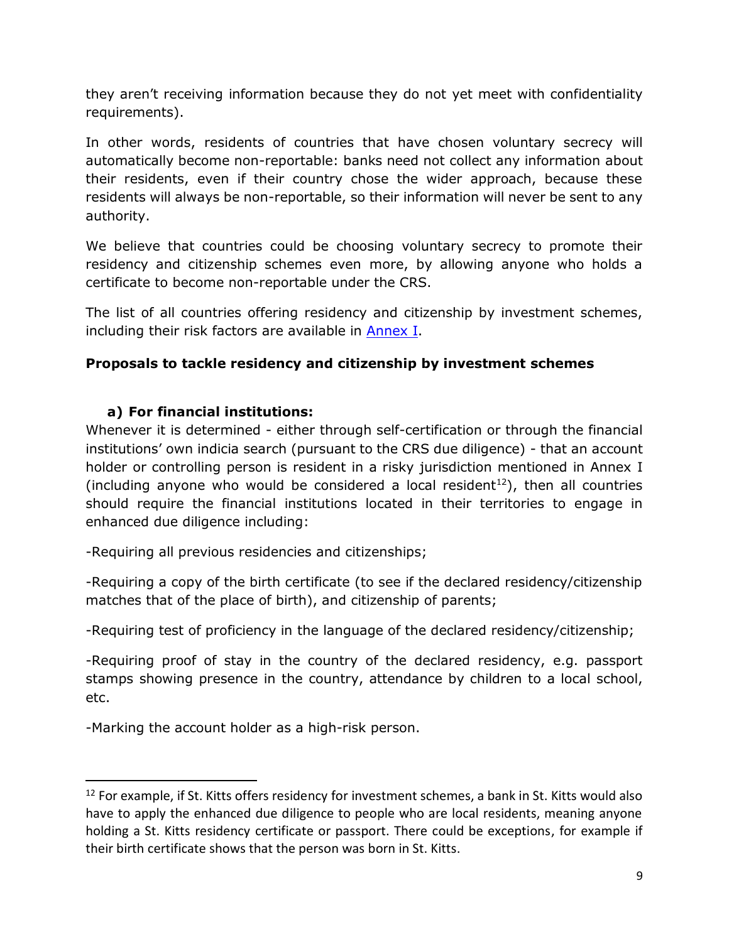they aren't receiving information because they do not yet meet with confidentiality requirements).

In other words, residents of countries that have chosen voluntary secrecy will automatically become non-reportable: banks need not collect any information about their residents, even if their country chose the wider approach, because these residents will always be non-reportable, so their information will never be sent to any authority.

We believe that countries could be choosing voluntary secrecy to promote their residency and citizenship schemes even more, by allowing anyone who holds a certificate to become non-reportable under the CRS.

The list of all countries offering residency and citizenship by investment schemes, including their risk factors are available in [Annex I.](#page-11-0)

#### <span id="page-8-0"></span>**Proposals to tackle residency and citizenship by investment schemes**

#### **a) For financial institutions:**

<span id="page-8-1"></span>Whenever it is determined - either through self-certification or through the financial institutions' own indicia search (pursuant to the CRS due diligence) - that an account holder or controlling person is resident in a risky jurisdiction mentioned in Annex I (including anyone who would be considered a local resident<sup>12</sup>), then all countries should require the financial institutions located in their territories to engage in enhanced due diligence including:

-Requiring all previous residencies and citizenships;

-Requiring a copy of the birth certificate (to see if the declared residency/citizenship matches that of the place of birth), and citizenship of parents;

-Requiring test of proficiency in the language of the declared residency/citizenship;

-Requiring proof of stay in the country of the declared residency, e.g. passport stamps showing presence in the country, attendance by children to a local school, etc.

-Marking the account holder as a high-risk person.

 $\overline{a}$ 

<sup>&</sup>lt;sup>12</sup> For example, if St. Kitts offers residency for investment schemes, a bank in St. Kitts would also have to apply the enhanced due diligence to people who are local residents, meaning anyone holding a St. Kitts residency certificate or passport. There could be exceptions, for example if their birth certificate shows that the person was born in St. Kitts.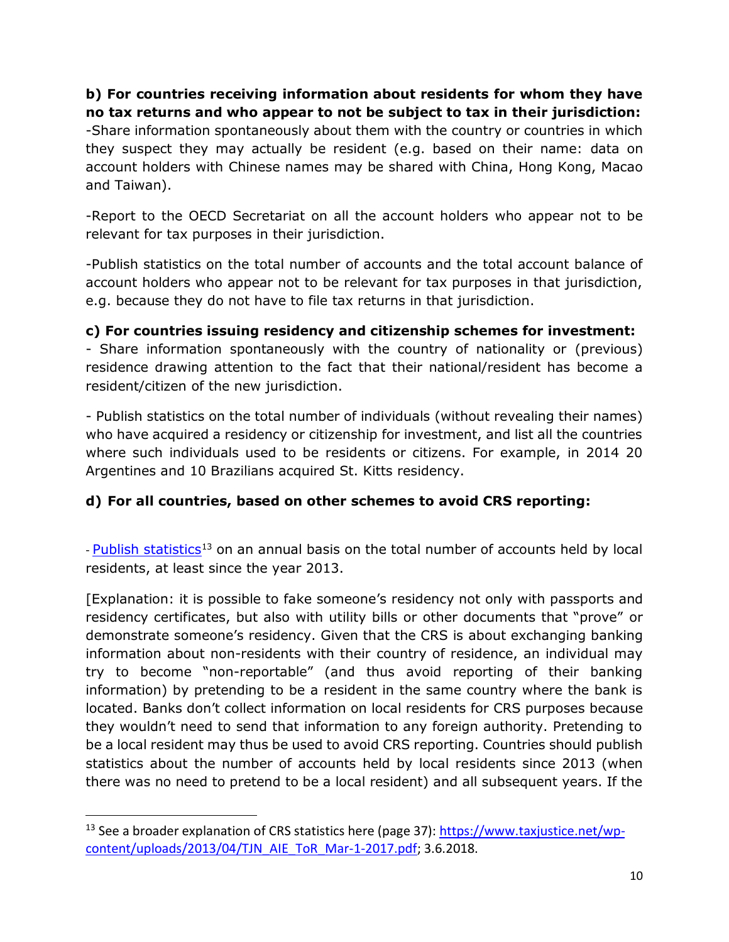#### <span id="page-9-0"></span>**b) For countries receiving information about residents for whom they have no tax returns and who appear to not be subject to tax in their jurisdiction:**

-Share information spontaneously about them with the country or countries in which they suspect they may actually be resident (e.g. based on their name: data on account holders with Chinese names may be shared with China, Hong Kong, Macao and Taiwan).

-Report to the OECD Secretariat on all the account holders who appear not to be relevant for tax purposes in their jurisdiction.

-Publish statistics on the total number of accounts and the total account balance of account holders who appear not to be relevant for tax purposes in that jurisdiction, e.g. because they do not have to file tax returns in that jurisdiction.

#### <span id="page-9-1"></span>**c) For countries issuing residency and citizenship schemes for investment:**

- Share information spontaneously with the country of nationality or (previous) residence drawing attention to the fact that their national/resident has become a resident/citizen of the new jurisdiction.

- Publish statistics on the total number of individuals (without revealing their names) who have acquired a residency or citizenship for investment, and list all the countries where such individuals used to be residents or citizens. For example, in 2014 20 Argentines and 10 Brazilians acquired St. Kitts residency.

## <span id="page-9-2"></span>**d) For all countries, based on other schemes to avoid CRS reporting:**

- [Publish statistics](https://www.taxjustice.net/wp-content/uploads/2013/04/TJN_AIE_ToR_Mar-1-2017.pdf)<sup>13</sup> on an annual basis on the total number of accounts held by local residents, at least since the year 2013.

[Explanation: it is possible to fake someone's residency not only with passports and residency certificates, but also with utility bills or other documents that "prove" or demonstrate someone's residency. Given that the CRS is about exchanging banking information about non-residents with their country of residence, an individual may try to become "non-reportable" (and thus avoid reporting of their banking information) by pretending to be a resident in the same country where the bank is located. Banks don't collect information on local residents for CRS purposes because they wouldn't need to send that information to any foreign authority. Pretending to be a local resident may thus be used to avoid CRS reporting. Countries should publish statistics about the number of accounts held by local residents since 2013 (when there was no need to pretend to be a local resident) and all subsequent years. If the

 $\overline{a}$ 

 $13$  See a broader explanation of CRS statistics here (page 37): [https://www.taxjustice.net/wp](https://www.taxjustice.net/wp-content/uploads/2013/04/TJN_AIE_ToR_Mar-1-2017.pdf)[content/uploads/2013/04/TJN\\_AIE\\_ToR\\_Mar-1-2017.pdf;](https://www.taxjustice.net/wp-content/uploads/2013/04/TJN_AIE_ToR_Mar-1-2017.pdf) 3.6.2018.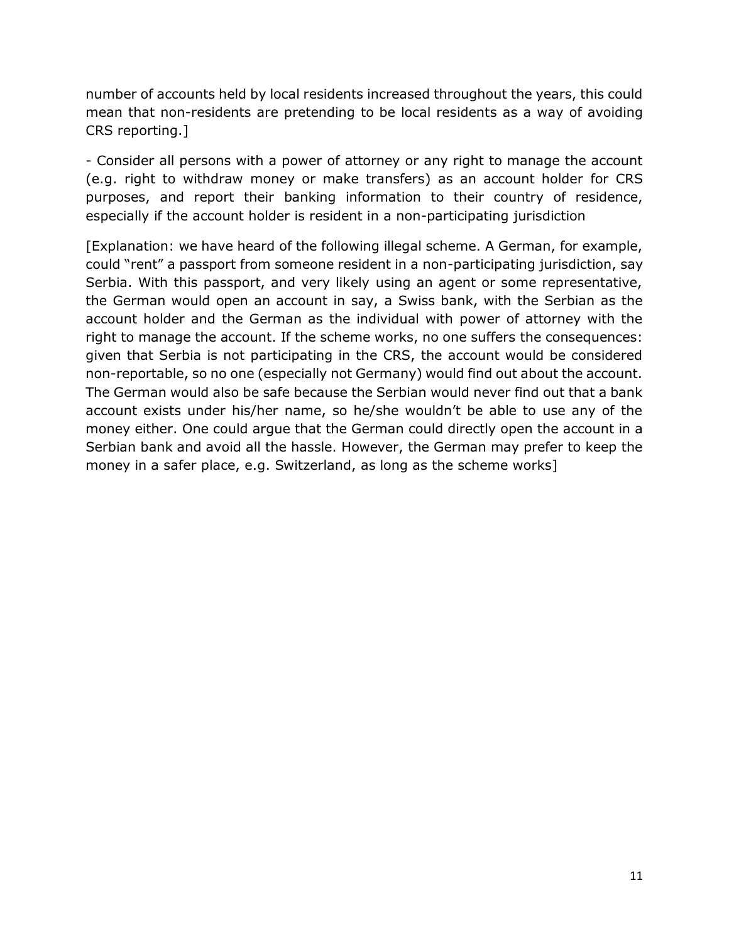number of accounts held by local residents increased throughout the years, this could mean that non-residents are pretending to be local residents as a way of avoiding CRS reporting.]

- Consider all persons with a power of attorney or any right to manage the account (e.g. right to withdraw money or make transfers) as an account holder for CRS purposes, and report their banking information to their country of residence, especially if the account holder is resident in a non-participating jurisdiction

[Explanation: we have heard of the following illegal scheme. A German, for example, could "rent" a passport from someone resident in a non-participating jurisdiction, say Serbia. With this passport, and very likely using an agent or some representative, the German would open an account in say, a Swiss bank, with the Serbian as the account holder and the German as the individual with power of attorney with the right to manage the account. If the scheme works, no one suffers the consequences: given that Serbia is not participating in the CRS, the account would be considered non-reportable, so no one (especially not Germany) would find out about the account. The German would also be safe because the Serbian would never find out that a bank account exists under his/her name, so he/she wouldn't be able to use any of the money either. One could argue that the German could directly open the account in a Serbian bank and avoid all the hassle. However, the German may prefer to keep the money in a safer place, e.g. Switzerland, as long as the scheme works]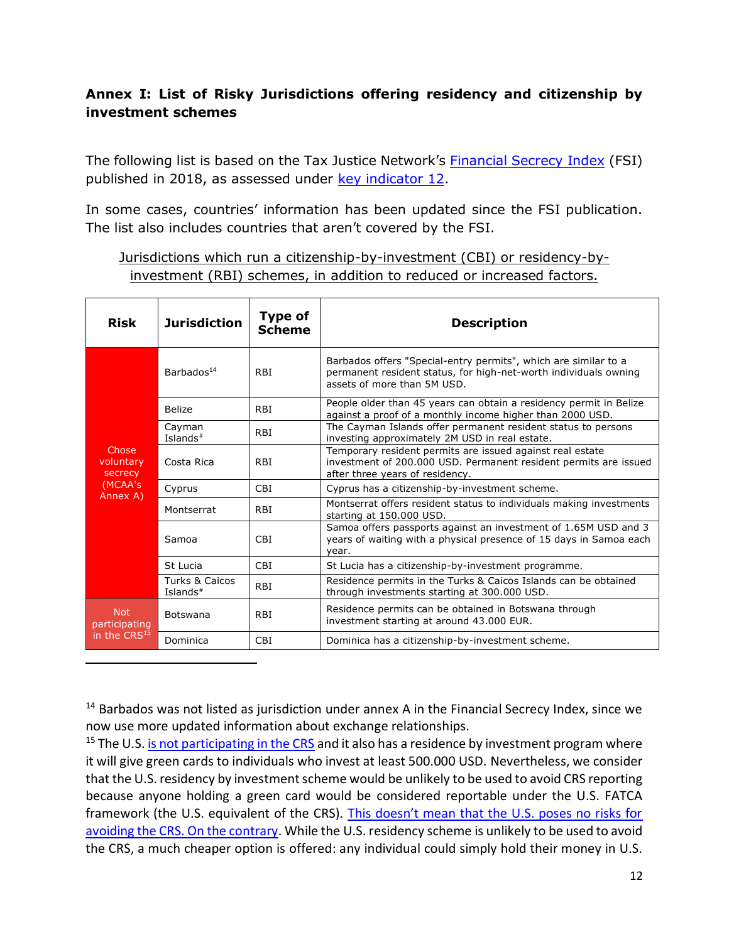### <span id="page-11-0"></span>**Annex I: List of Risky Jurisdictions offering residency and citizenship by investment schemes**

The following list is based on the Tax Justice Network's **[Financial Secrecy Index](https://www.financialsecrecyindex.com/)** (FSI) published in 2018, as assessed under [key indicator 12.](https://financialsecrecyindex.com/PDF/12-Consistent-Personal-Income-Tax.pdf)

In some cases, countries' information has been updated since the FSI publication. The list also includes countries that aren't covered by the FSI.

Jurisdictions which run a citizenship-by-investment (CBI) or residency-byinvestment (RBI) schemes, in addition to reduced or increased factors.

| <b>Risk</b>                                             | <b>Jurisdiction</b>           | <b>Type of</b><br><b>Scheme</b> | <b>Description</b>                                                                                                                                                 |
|---------------------------------------------------------|-------------------------------|---------------------------------|--------------------------------------------------------------------------------------------------------------------------------------------------------------------|
| Chose<br>voluntary<br>secrecy                           | Barbados <sup>14</sup>        | <b>RBI</b>                      | Barbados offers "Special-entry permits", which are similar to a<br>permanent resident status, for high-net-worth individuals owning<br>assets of more than 5M USD. |
|                                                         | <b>Belize</b>                 | <b>RBI</b>                      | People older than 45 years can obtain a residency permit in Belize<br>against a proof of a monthly income higher than 2000 USD.                                    |
|                                                         | Cayman<br>Islands#            | <b>RBI</b>                      | The Cayman Islands offer permanent resident status to persons<br>investing approximately 2M USD in real estate.                                                    |
|                                                         | Costa Rica                    | <b>RBI</b>                      | Temporary resident permits are issued against real estate<br>investment of 200.000 USD. Permanent resident permits are issued<br>after three years of residency.   |
| (MCAA's                                                 | Cyprus                        | <b>CBI</b>                      | Cyprus has a citizenship-by-investment scheme.                                                                                                                     |
| Annex A)                                                | Montserrat                    | <b>RBI</b>                      | Montserrat offers resident status to individuals making investments<br>starting at 150,000 USD.                                                                    |
|                                                         | Samoa                         | <b>CBI</b>                      | Samoa offers passports against an investment of 1.65M USD and 3<br>years of waiting with a physical presence of 15 days in Samoa each<br>year.                     |
|                                                         | St Lucia                      | <b>CBI</b>                      | St Lucia has a citizenship-by-investment programme.                                                                                                                |
|                                                         | Turks & Caicos<br>Islands $*$ | <b>RBI</b>                      | Residence permits in the Turks & Caicos Islands can be obtained<br>through investments starting at 300.000 USD.                                                    |
| <b>Not</b><br>participating<br>in the CRS <sup>15</sup> | Botswana                      | <b>RBI</b>                      | Residence permits can be obtained in Botswana through<br>investment starting at around 43.000 EUR.                                                                 |
|                                                         | Dominica                      | <b>CBI</b>                      | Dominica has a citizenship-by-investment scheme.                                                                                                                   |

 $\overline{\phantom{a}}$ 

<sup>&</sup>lt;sup>14</sup> Barbados was not listed as jurisdiction under annex A in the Financial Secrecy Index, since we now use more updated information about exchange relationships.

<sup>&</sup>lt;sup>15</sup> The U.S. [is not participating in the CRS](https://www.oecd.org/tax/transparency/AEOI-commitments.pdf) and it also has a residence by investment program where it will give green cards to individuals who invest at least 500.000 USD. Nevertheless, we consider that the U.S. residency by investment scheme would be unlikely to be used to avoid CRS reporting because anyone holding a green card would be considered reportable under the U.S. FATCA framework (the U.S. equivalent of the CRS). [This doesn't mean that the U.S. poses no risks for](https://www.greens-efa.eu/legacy/fileadmin/dam/Documents/Studies/Taxation/The_US_as_a_tax_haven_Implications_for_Europe_11_May_FINAL.pdf)  [avoiding the CRS. On the contrary.](https://www.greens-efa.eu/legacy/fileadmin/dam/Documents/Studies/Taxation/The_US_as_a_tax_haven_Implications_for_Europe_11_May_FINAL.pdf) While the U.S. residency scheme is unlikely to be used to avoid the CRS, a much cheaper option is offered: any individual could simply hold their money in U.S.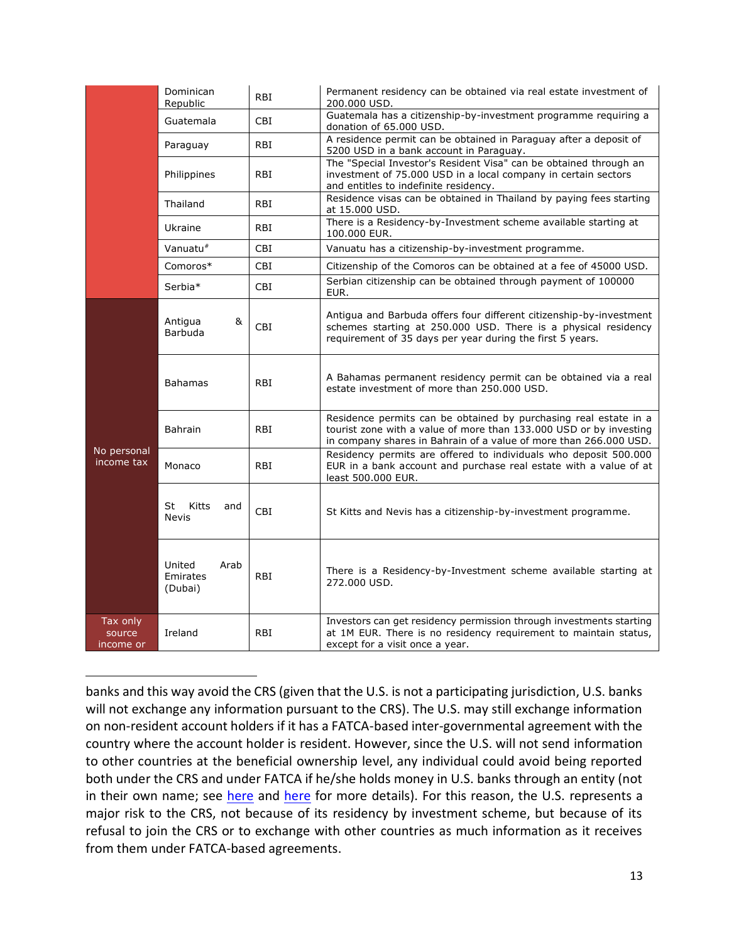|                                 | Dominican<br>Republic                 | <b>RBI</b> | Permanent residency can be obtained via real estate investment of<br>200.000 USD.                                                                                                                           |
|---------------------------------|---------------------------------------|------------|-------------------------------------------------------------------------------------------------------------------------------------------------------------------------------------------------------------|
|                                 | Guatemala                             | <b>CBI</b> | Guatemala has a citizenship-by-investment programme requiring a<br>donation of 65.000 USD.                                                                                                                  |
|                                 | Paraguay                              | <b>RBI</b> | A residence permit can be obtained in Paraguay after a deposit of<br>5200 USD in a bank account in Paraguay.                                                                                                |
|                                 | Philippines                           | <b>RBI</b> | The "Special Investor's Resident Visa" can be obtained through an<br>investment of 75.000 USD in a local company in certain sectors<br>and entitles to indefinite residency.                                |
|                                 | Thailand                              | <b>RBI</b> | Residence visas can be obtained in Thailand by paying fees starting<br>at 15.000 USD.                                                                                                                       |
|                                 | Ukraine                               | <b>RBI</b> | There is a Residency-by-Investment scheme available starting at<br>100.000 EUR.                                                                                                                             |
|                                 | Vanuatu <sup>#</sup>                  | <b>CBI</b> | Vanuatu has a citizenship-by-investment programme.                                                                                                                                                          |
|                                 | Comoros*                              | CBI        | Citizenship of the Comoros can be obtained at a fee of 45000 USD.                                                                                                                                           |
|                                 | Serbia*                               | <b>CBI</b> | Serbian citizenship can be obtained through payment of 100000<br>EUR.                                                                                                                                       |
|                                 | Antigua<br>&<br><b>Barbuda</b>        | CBI        | Antigua and Barbuda offers four different citizenship-by-investment<br>schemes starting at 250.000 USD. There is a physical residency<br>requirement of 35 days per year during the first 5 years.          |
|                                 | <b>Bahamas</b>                        | <b>RBI</b> | A Bahamas permanent residency permit can be obtained via a real<br>estate investment of more than 250,000 USD.                                                                                              |
|                                 | <b>Bahrain</b>                        | <b>RBI</b> | Residence permits can be obtained by purchasing real estate in a<br>tourist zone with a value of more than 133.000 USD or by investing<br>in company shares in Bahrain of a value of more than 266.000 USD. |
| No personal<br>income tax       | Monaco                                | <b>RBI</b> | Residency permits are offered to individuals who deposit 500.000<br>EUR in a bank account and purchase real estate with a value of at<br>least 500.000 EUR.                                                 |
|                                 | Kitts<br>St<br>and<br><b>Nevis</b>    | <b>CBI</b> | St Kitts and Nevis has a citizenship-by-investment programme.                                                                                                                                               |
|                                 | United<br>Arab<br>Emirates<br>(Dubai) | <b>RBI</b> | There is a Residency-by-Investment scheme available starting at<br>272,000 USD.                                                                                                                             |
| Tax only<br>source<br>income or | Ireland                               | <b>RBI</b> | Investors can get residency permission through investments starting<br>at 1M EUR. There is no residency requirement to maintain status,<br>except for a visit once a year.                                  |

banks and this way avoid the CRS (given that the U.S. is not a participating jurisdiction, U.S. banks will not exchange any information pursuant to the CRS). The U.S. may still exchange information on non-resident account holders if it has a FATCA-based inter-governmental agreement with the country where the account holder is resident. However, since the U.S. will not send information to other countries at the beneficial ownership level, any individual could avoid being reported both under the CRS and under FATCA if he/she holds money in U.S. banks through an entity (not in their own name; see [here](https://www.taxjustice.net/2015/01/26/loophole-usa-vortex-shaped-hole-global-financial-transparency-2/) and here for more details). For this reason, the U.S. represents a major risk to the CRS, not because of its residency by investment scheme, but because of its refusal to join the CRS or to exchange with other countries as much information as it receives from them under FATCA-based agreements.

 $\overline{\phantom{a}}$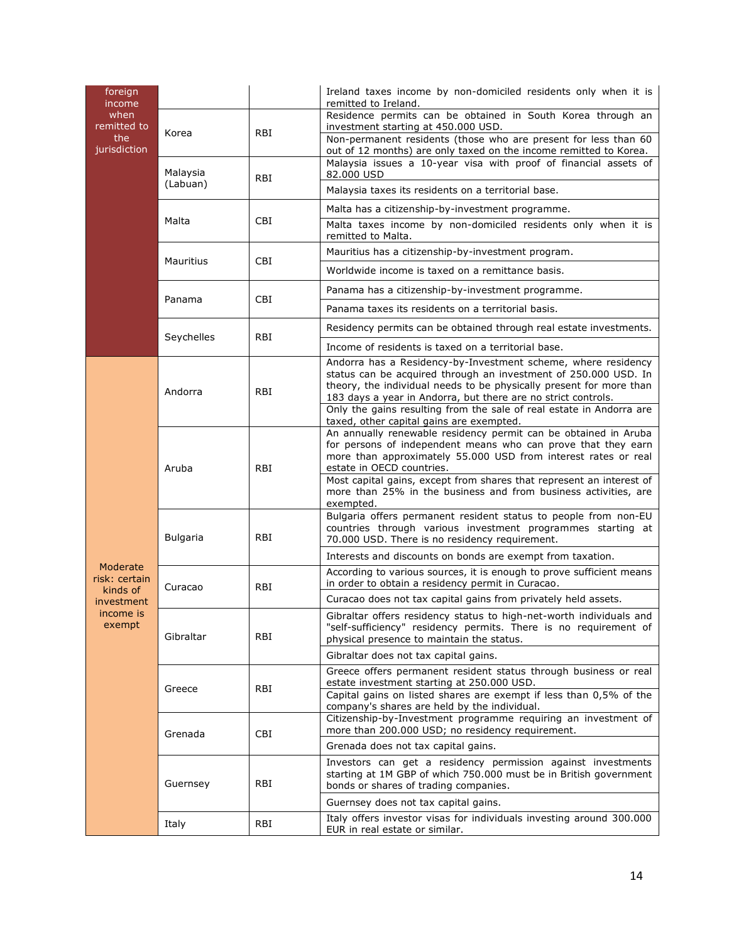| foreign<br>income                     |                      |            | Ireland taxes income by non-domiciled residents only when it is<br>remitted to Ireland.                                                                                                                                                                                                                                                                                                      |
|---------------------------------------|----------------------|------------|----------------------------------------------------------------------------------------------------------------------------------------------------------------------------------------------------------------------------------------------------------------------------------------------------------------------------------------------------------------------------------------------|
| when                                  |                      |            | Residence permits can be obtained in South Korea through an                                                                                                                                                                                                                                                                                                                                  |
| remitted to<br>the<br>jurisdiction    | Korea                | <b>RBI</b> | investment starting at 450.000 USD.<br>Non-permanent residents (those who are present for less than 60<br>out of 12 months) are only taxed on the income remitted to Korea.                                                                                                                                                                                                                  |
|                                       | Malaysia<br>(Labuan) | <b>RBI</b> | Malaysia issues a 10-year visa with proof of financial assets of<br>82.000 USD                                                                                                                                                                                                                                                                                                               |
|                                       |                      |            | Malaysia taxes its residents on a territorial base.                                                                                                                                                                                                                                                                                                                                          |
|                                       |                      |            | Malta has a citizenship-by-investment programme.                                                                                                                                                                                                                                                                                                                                             |
|                                       | Malta                | <b>CBI</b> | Malta taxes income by non-domiciled residents only when it is<br>remitted to Malta.                                                                                                                                                                                                                                                                                                          |
|                                       | Mauritius            | <b>CBI</b> | Mauritius has a citizenship-by-investment program.                                                                                                                                                                                                                                                                                                                                           |
|                                       |                      |            | Worldwide income is taxed on a remittance basis.                                                                                                                                                                                                                                                                                                                                             |
|                                       | Panama               | <b>CBI</b> | Panama has a citizenship-by-investment programme.                                                                                                                                                                                                                                                                                                                                            |
|                                       |                      |            | Panama taxes its residents on a territorial basis.                                                                                                                                                                                                                                                                                                                                           |
|                                       |                      | <b>RBI</b> | Residency permits can be obtained through real estate investments.                                                                                                                                                                                                                                                                                                                           |
|                                       | Seychelles           |            | Income of residents is taxed on a territorial base.                                                                                                                                                                                                                                                                                                                                          |
|                                       | Andorra              | <b>RBI</b> | Andorra has a Residency-by-Investment scheme, where residency<br>status can be acquired through an investment of 250.000 USD. In<br>theory, the individual needs to be physically present for more than<br>183 days a year in Andorra, but there are no strict controls.<br>Only the gains resulting from the sale of real estate in Andorra are<br>taxed, other capital gains are exempted. |
|                                       | Aruba                | <b>RBI</b> | An annually renewable residency permit can be obtained in Aruba<br>for persons of independent means who can prove that they earn<br>more than approximately 55.000 USD from interest rates or real<br>estate in OECD countries.<br>Most capital gains, except from shares that represent an interest of<br>more than 25% in the business and from business activities, are<br>exempted.      |
|                                       | <b>Bulgaria</b>      | RBI        | Bulgaria offers permanent resident status to people from non-EU<br>countries through various investment programmes starting at<br>70.000 USD. There is no residency requirement.                                                                                                                                                                                                             |
|                                       |                      |            | Interests and discounts on bonds are exempt from taxation.                                                                                                                                                                                                                                                                                                                                   |
| Moderate<br>risk: certain<br>kinds of | Curacao              | <b>RBI</b> | According to various sources, it is enough to prove sufficient means<br>in order to obtain a residency permit in Curacao.                                                                                                                                                                                                                                                                    |
| investment                            |                      |            | Curacao does not tax capital gains from privately held assets.                                                                                                                                                                                                                                                                                                                               |
| income is<br>exempt                   | Gibraltar            | RBI        | Gibraltar offers residency status to high-net-worth individuals and<br>"self-sufficiency" residency permits. There is no requirement of<br>physical presence to maintain the status.                                                                                                                                                                                                         |
|                                       |                      |            | Gibraltar does not tax capital gains.                                                                                                                                                                                                                                                                                                                                                        |
|                                       | Greece               | RBI        | Greece offers permanent resident status through business or real<br>estate investment starting at 250.000 USD.<br>Capital gains on listed shares are exempt if less than 0,5% of the<br>company's shares are held by the individual.                                                                                                                                                         |
|                                       | Grenada              | CBI        | Citizenship-by-Investment programme requiring an investment of<br>more than 200.000 USD; no residency requirement.                                                                                                                                                                                                                                                                           |
|                                       |                      |            | Grenada does not tax capital gains.<br>Investors can get a residency permission against investments                                                                                                                                                                                                                                                                                          |
|                                       | Guernsey             | RBI        | starting at 1M GBP of which 750.000 must be in British government<br>bonds or shares of trading companies.                                                                                                                                                                                                                                                                                   |
|                                       |                      |            | Guernsey does not tax capital gains.                                                                                                                                                                                                                                                                                                                                                         |
|                                       | Italy                | RBI        | Italy offers investor visas for individuals investing around 300.000<br>EUR in real estate or similar.                                                                                                                                                                                                                                                                                       |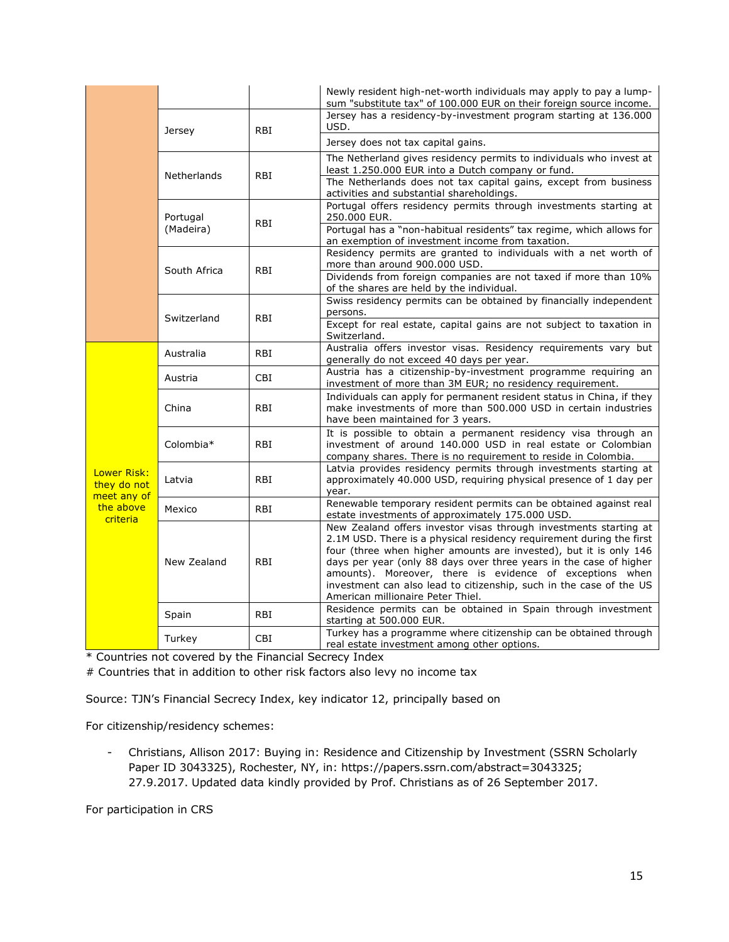|                                           |                       |            | Newly resident high-net-worth individuals may apply to pay a lump-<br>sum "substitute tax" of 100.000 EUR on their foreign source income.                                                                                                                                                                                                                                                                                                                    |
|-------------------------------------------|-----------------------|------------|--------------------------------------------------------------------------------------------------------------------------------------------------------------------------------------------------------------------------------------------------------------------------------------------------------------------------------------------------------------------------------------------------------------------------------------------------------------|
|                                           | Jersey                | <b>RBI</b> | Jersey has a residency-by-investment program starting at 136.000<br>USD.                                                                                                                                                                                                                                                                                                                                                                                     |
|                                           |                       |            | Jersey does not tax capital gains.                                                                                                                                                                                                                                                                                                                                                                                                                           |
|                                           | <b>Netherlands</b>    | <b>RBI</b> | The Netherland gives residency permits to individuals who invest at<br>least 1.250.000 EUR into a Dutch company or fund.                                                                                                                                                                                                                                                                                                                                     |
|                                           |                       |            | The Netherlands does not tax capital gains, except from business<br>activities and substantial shareholdings.                                                                                                                                                                                                                                                                                                                                                |
|                                           | Portugal<br>(Madeira) | <b>RBI</b> | Portugal offers residency permits through investments starting at<br>250.000 EUR.                                                                                                                                                                                                                                                                                                                                                                            |
|                                           |                       |            | Portugal has a "non-habitual residents" tax regime, which allows for<br>an exemption of investment income from taxation.                                                                                                                                                                                                                                                                                                                                     |
|                                           | South Africa          | <b>RBI</b> | Residency permits are granted to individuals with a net worth of<br>more than around 900.000 USD.                                                                                                                                                                                                                                                                                                                                                            |
|                                           |                       |            | Dividends from foreign companies are not taxed if more than 10%<br>of the shares are held by the individual.                                                                                                                                                                                                                                                                                                                                                 |
|                                           | Switzerland           | <b>RBI</b> | Swiss residency permits can be obtained by financially independent<br>persons.                                                                                                                                                                                                                                                                                                                                                                               |
|                                           |                       |            | Except for real estate, capital gains are not subject to taxation in<br>Switzerland.                                                                                                                                                                                                                                                                                                                                                                         |
|                                           | Australia             | <b>RBI</b> | Australia offers investor visas. Residency requirements vary but<br>generally do not exceed 40 days per year.                                                                                                                                                                                                                                                                                                                                                |
|                                           | Austria               | CBI.       | Austria has a citizenship-by-investment programme requiring an<br>investment of more than 3M EUR; no residency requirement.                                                                                                                                                                                                                                                                                                                                  |
|                                           | China                 | <b>RBI</b> | Individuals can apply for permanent resident status in China, if they<br>make investments of more than 500.000 USD in certain industries<br>have been maintained for 3 years.                                                                                                                                                                                                                                                                                |
|                                           | Colombia*             | RBI        | It is possible to obtain a permanent residency visa through an<br>investment of around 140.000 USD in real estate or Colombian<br>company shares. There is no requirement to reside in Colombia.                                                                                                                                                                                                                                                             |
| Lower Risk:<br>they do not<br>meet any of | Latvia                | <b>RBI</b> | Latvia provides residency permits through investments starting at<br>approximately 40.000 USD, requiring physical presence of 1 day per<br>year.                                                                                                                                                                                                                                                                                                             |
| the above<br>criteria                     | Mexico                | <b>RBI</b> | Renewable temporary resident permits can be obtained against real<br>estate investments of approximately 175.000 USD.                                                                                                                                                                                                                                                                                                                                        |
|                                           | New Zealand           | <b>RBI</b> | New Zealand offers investor visas through investments starting at<br>2.1M USD. There is a physical residency requirement during the first<br>four (three when higher amounts are invested), but it is only 146<br>days per year (only 88 days over three years in the case of higher<br>amounts). Moreover, there is evidence of exceptions when<br>investment can also lead to citizenship, such in the case of the US<br>American millionaire Peter Thiel. |
|                                           | Spain                 | RBI        | Residence permits can be obtained in Spain through investment<br>starting at 500.000 EUR.                                                                                                                                                                                                                                                                                                                                                                    |
|                                           | Turkey                | CBI        | Turkey has a programme where citizenship can be obtained through<br>real estate investment among other options.                                                                                                                                                                                                                                                                                                                                              |

\* Countries not covered by the Financial Secrecy Index

# Countries that in addition to other risk factors also levy no income tax

Source: TJN's Financial Secrecy Index, key indicator 12, principally based on

For citizenship/residency schemes:

- Christians, Allison 2017: Buying in: Residence and Citizenship by Investment (SSRN Scholarly Paper ID 3043325), Rochester, NY, in: https://papers.ssrn.com/abstract=3043325; 27.9.2017. Updated data kindly provided by Prof. Christians as of 26 September 2017.

For participation in CRS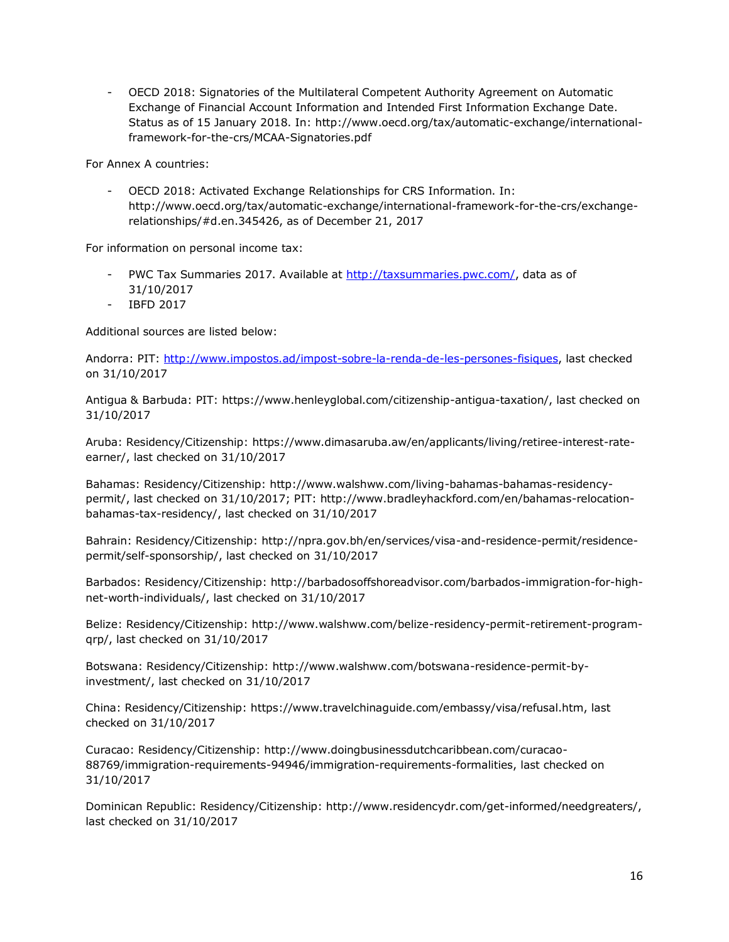- OECD 2018: Signatories of the Multilateral Competent Authority Agreement on Automatic Exchange of Financial Account Information and Intended First Information Exchange Date. Status as of 15 January 2018. In: http://www.oecd.org/tax/automatic-exchange/internationalframework-for-the-crs/MCAA-Signatories.pdf

For Annex A countries:

- OECD 2018: Activated Exchange Relationships for CRS Information. In: http://www.oecd.org/tax/automatic-exchange/international-framework-for-the-crs/exchangerelationships/#d.en.345426, as of December 21, 2017

For information on personal income tax:

- PWC Tax Summaries 2017. Available at [http://taxsummaries.pwc.com/,](http://taxsummaries.pwc.com/) data as of 31/10/2017
- IBFD 2017

Additional sources are listed below:

Andorra: PIT: [http://www.impostos.ad/impost-sobre-la-renda-de-les-persones-fisiques,](http://www.impostos.ad/impost-sobre-la-renda-de-les-persones-fisiques) last checked on 31/10/2017

Antigua & Barbuda: PIT: https://www.henleyglobal.com/citizenship-antigua-taxation/, last checked on 31/10/2017

Aruba: Residency/Citizenship: https://www.dimasaruba.aw/en/applicants/living/retiree-interest-rateearner/, last checked on 31/10/2017

Bahamas: Residency/Citizenship: http://www.walshww.com/living-bahamas-bahamas-residencypermit/, last checked on 31/10/2017; PIT: http://www.bradleyhackford.com/en/bahamas-relocationbahamas-tax-residency/, last checked on 31/10/2017

Bahrain: Residency/Citizenship: http://npra.gov.bh/en/services/visa-and-residence-permit/residencepermit/self-sponsorship/, last checked on 31/10/2017

Barbados: Residency/Citizenship: http://barbadosoffshoreadvisor.com/barbados-immigration-for-highnet-worth-individuals/, last checked on 31/10/2017

Belize: Residency/Citizenship: http://www.walshww.com/belize-residency-permit-retirement-programqrp/, last checked on 31/10/2017

Botswana: Residency/Citizenship: http://www.walshww.com/botswana-residence-permit-byinvestment/, last checked on 31/10/2017

China: Residency/Citizenship: https://www.travelchinaguide.com/embassy/visa/refusal.htm, last checked on 31/10/2017

Curacao: Residency/Citizenship: http://www.doingbusinessdutchcaribbean.com/curacao-88769/immigration-requirements-94946/immigration-requirements-formalities, last checked on 31/10/2017

Dominican Republic: Residency/Citizenship: http://www.residencydr.com/get-informed/needgreaters/, last checked on 31/10/2017